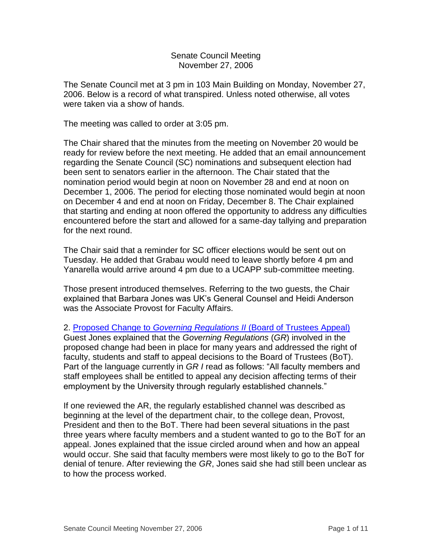Senate Council Meeting November 27, 2006

The Senate Council met at 3 pm in 103 Main Building on Monday, November 27, 2006. Below is a record of what transpired. Unless noted otherwise, all votes were taken via a show of hands.

The meeting was called to order at 3:05 pm.

The Chair shared that the minutes from the meeting on November 20 would be ready for review before the next meeting. He added that an email announcement regarding the Senate Council (SC) nominations and subsequent election had been sent to senators earlier in the afternoon. The Chair stated that the nomination period would begin at noon on November 28 and end at noon on December 1, 2006. The period for electing those nominated would begin at noon on December 4 and end at noon on Friday, December 8. The Chair explained that starting and ending at noon offered the opportunity to address any difficulties encountered before the start and allowed for a same-day tallying and preparation for the next round.

The Chair said that a reminder for SC officer elections would be sent out on Tuesday. He added that Grabau would need to leave shortly before 4 pm and Yanarella would arrive around 4 pm due to a UCAPP sub-committee meeting.

Those present introduced themselves. Referring to the two guests, the Chair explained that Barbara Jones was UK's General Counsel and Heidi Anderson was the Associate Provost for Faculty Affairs.

2. Proposed Change to *Governing Regulations II* [\(Board of Trustees Appeal\)](http://www.uky.edu/USC/New/files/20061127/GRII%20BoT%20Appeal%20Process%20Proposed%20Amendment.pdf) Guest Jones explained that the *Governing Regulations* (*GR*) involved in the proposed change had been in place for many years and addressed the right of faculty, students and staff to appeal decisions to the Board of Trustees (BoT). Part of the language currently in *GR I* read as follows: "All faculty members and staff employees shall be entitled to appeal any decision affecting terms of their employment by the University through regularly established channels."

If one reviewed the AR, the regularly established channel was described as beginning at the level of the department chair, to the college dean, Provost, President and then to the BoT. There had been several situations in the past three years where faculty members and a student wanted to go to the BoT for an appeal. Jones explained that the issue circled around when and how an appeal would occur. She said that faculty members were most likely to go to the BoT for denial of tenure. After reviewing the *GR*, Jones said she had still been unclear as to how the process worked.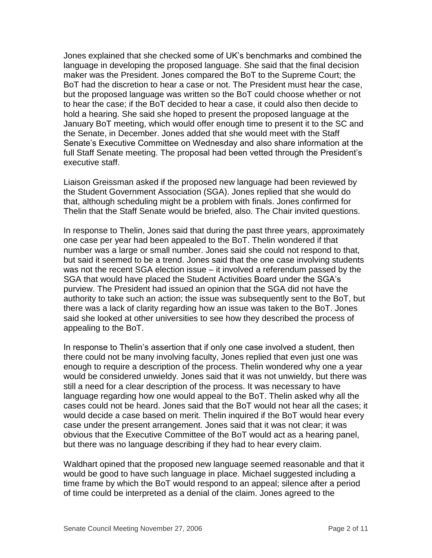Jones explained that she checked some of UK's benchmarks and combined the language in developing the proposed language. She said that the final decision maker was the President. Jones compared the BoT to the Supreme Court; the BoT had the discretion to hear a case or not. The President must hear the case, but the proposed language was written so the BoT could choose whether or not to hear the case; if the BoT decided to hear a case, it could also then decide to hold a hearing. She said she hoped to present the proposed language at the January BoT meeting, which would offer enough time to present it to the SC and the Senate, in December. Jones added that she would meet with the Staff Senate's Executive Committee on Wednesday and also share information at the full Staff Senate meeting. The proposal had been vetted through the President's executive staff.

Liaison Greissman asked if the proposed new language had been reviewed by the Student Government Association (SGA). Jones replied that she would do that, although scheduling might be a problem with finals. Jones confirmed for Thelin that the Staff Senate would be briefed, also. The Chair invited questions.

In response to Thelin, Jones said that during the past three years, approximately one case per year had been appealed to the BoT. Thelin wondered if that number was a large or small number. Jones said she could not respond to that, but said it seemed to be a trend. Jones said that the one case involving students was not the recent SGA election issue – it involved a referendum passed by the SGA that would have placed the Student Activities Board under the SGA's purview. The President had issued an opinion that the SGA did not have the authority to take such an action; the issue was subsequently sent to the BoT, but there was a lack of clarity regarding how an issue was taken to the BoT. Jones said she looked at other universities to see how they described the process of appealing to the BoT.

In response to Thelin's assertion that if only one case involved a student, then there could not be many involving faculty, Jones replied that even just one was enough to require a description of the process. Thelin wondered why one a year would be considered unwieldy. Jones said that it was not unwieldy, but there was still a need for a clear description of the process. It was necessary to have language regarding how one would appeal to the BoT. Thelin asked why all the cases could not be heard. Jones said that the BoT would not hear all the cases; it would decide a case based on merit. Thelin inquired if the BoT would hear every case under the present arrangement. Jones said that it was not clear; it was obvious that the Executive Committee of the BoT would act as a hearing panel, but there was no language describing if they had to hear every claim.

Waldhart opined that the proposed new language seemed reasonable and that it would be good to have such language in place. Michael suggested including a time frame by which the BoT would respond to an appeal; silence after a period of time could be interpreted as a denial of the claim. Jones agreed to the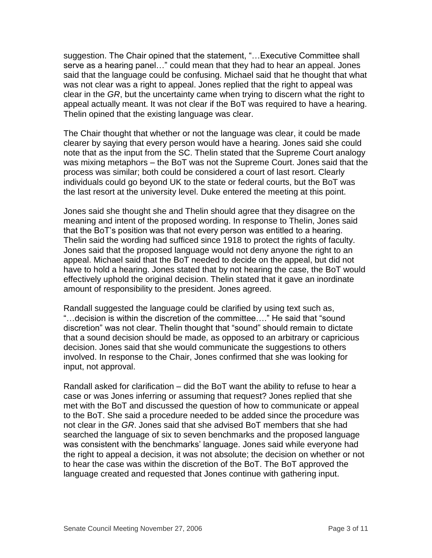suggestion. The Chair opined that the statement, "…Executive Committee shall serve as a hearing panel…" could mean that they had to hear an appeal. Jones said that the language could be confusing. Michael said that he thought that what was not clear was a right to appeal. Jones replied that the right to appeal was clear in the *GR*, but the uncertainty came when trying to discern what the right to appeal actually meant. It was not clear if the BoT was required to have a hearing. Thelin opined that the existing language was clear.

The Chair thought that whether or not the language was clear, it could be made clearer by saying that every person would have a hearing. Jones said she could note that as the input from the SC. Thelin stated that the Supreme Court analogy was mixing metaphors – the BoT was not the Supreme Court. Jones said that the process was similar; both could be considered a court of last resort. Clearly individuals could go beyond UK to the state or federal courts, but the BoT was the last resort at the university level. Duke entered the meeting at this point.

Jones said she thought she and Thelin should agree that they disagree on the meaning and intent of the proposed wording. In response to Thelin, Jones said that the BoT's position was that not every person was entitled to a hearing. Thelin said the wording had sufficed since 1918 to protect the rights of faculty. Jones said that the proposed language would not deny anyone the right to an appeal. Michael said that the BoT needed to decide on the appeal, but did not have to hold a hearing. Jones stated that by not hearing the case, the BoT would effectively uphold the original decision. Thelin stated that it gave an inordinate amount of responsibility to the president. Jones agreed.

Randall suggested the language could be clarified by using text such as, "…decision is within the discretion of the committee…." He said that "sound discretion" was not clear. Thelin thought that "sound" should remain to dictate that a sound decision should be made, as opposed to an arbitrary or capricious decision. Jones said that she would communicate the suggestions to others involved. In response to the Chair, Jones confirmed that she was looking for input, not approval.

Randall asked for clarification – did the BoT want the ability to refuse to hear a case or was Jones inferring or assuming that request? Jones replied that she met with the BoT and discussed the question of how to communicate or appeal to the BoT. She said a procedure needed to be added since the procedure was not clear in the *GR*. Jones said that she advised BoT members that she had searched the language of six to seven benchmarks and the proposed language was consistent with the benchmarks' language. Jones said while everyone had the right to appeal a decision, it was not absolute; the decision on whether or not to hear the case was within the discretion of the BoT. The BoT approved the language created and requested that Jones continue with gathering input.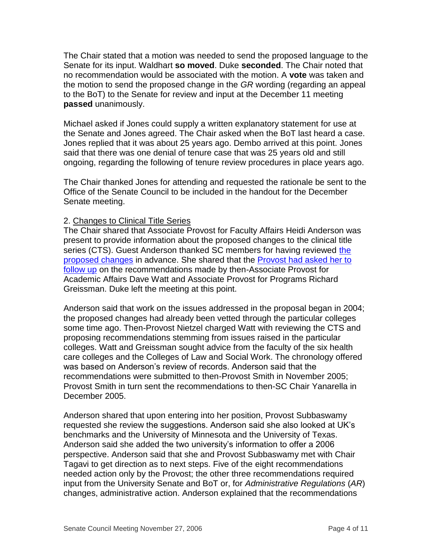The Chair stated that a motion was needed to send the proposed language to the Senate for its input. Waldhart **so moved**. Duke **seconded**. The Chair noted that no recommendation would be associated with the motion. A **vote** was taken and the motion to send the proposed change in the *GR* wording (regarding an appeal to the BoT) to the Senate for review and input at the December 11 meeting **passed** unanimously.

Michael asked if Jones could supply a written explanatory statement for use at the Senate and Jones agreed. The Chair asked when the BoT last heard a case. Jones replied that it was about 25 years ago. Dembo arrived at this point. Jones said that there was one denial of tenure case that was 25 years old and still ongoing, regarding the following of tenure review procedures in place years ago.

The Chair thanked Jones for attending and requested the rationale be sent to the Office of the Senate Council to be included in the handout for the December Senate meeting.

## 2. Changes to Clinical Title Series

The Chair shared that Associate Provost for Faculty Affairs Heidi Anderson was present to provide information about the proposed changes to the clinical title series (CTS). Guest Anderson thanked SC members for having reviewed the [proposed changes](http://www.uky.edu/USC/New/files/20061127/Clincial%20Title%20Series%20Proposal.pdf) in advance. She shared that the [Provost had asked her to](http://www.uky.edu/USC/New/files/20061127/Clinical%20Title%20Series_Memo.pdf)  [follow up](http://www.uky.edu/USC/New/files/20061127/Clinical%20Title%20Series_Memo.pdf) on the recommendations made by then-Associate Provost for Academic Affairs Dave Watt and Associate Provost for Programs Richard Greissman. Duke left the meeting at this point.

Anderson said that work on the issues addressed in the proposal began in 2004; the proposed changes had already been vetted through the particular colleges some time ago. Then-Provost Nietzel charged Watt with reviewing the CTS and proposing recommendations stemming from issues raised in the particular colleges. Watt and Greissman sought advice from the faculty of the six health care colleges and the Colleges of Law and Social Work. The chronology offered was based on Anderson's review of records. Anderson said that the recommendations were submitted to then-Provost Smith in November 2005; Provost Smith in turn sent the recommendations to then-SC Chair Yanarella in December 2005.

Anderson shared that upon entering into her position, Provost Subbaswamy requested she review the suggestions. Anderson said she also looked at UK's benchmarks and the University of Minnesota and the University of Texas. Anderson said she added the two university's information to offer a 2006 perspective. Anderson said that she and Provost Subbaswamy met with Chair Tagavi to get direction as to next steps. Five of the eight recommendations needed action only by the Provost; the other three recommendations required input from the University Senate and BoT or, for *Administrative Regulations* (*AR*) changes, administrative action. Anderson explained that the recommendations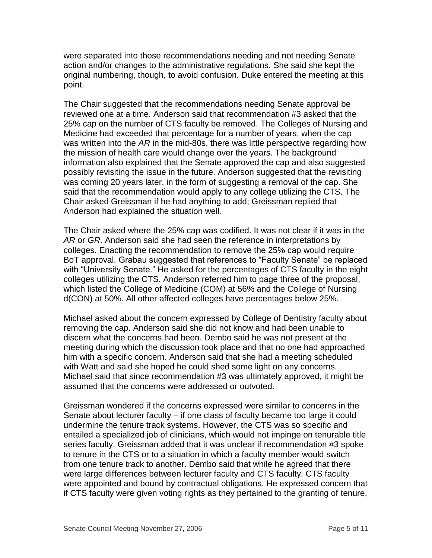were separated into those recommendations needing and not needing Senate action and/or changes to the administrative regulations. She said she kept the original numbering, though, to avoid confusion. Duke entered the meeting at this point.

The Chair suggested that the recommendations needing Senate approval be reviewed one at a time. Anderson said that recommendation #3 asked that the 25% cap on the number of CTS faculty be removed. The Colleges of Nursing and Medicine had exceeded that percentage for a number of years; when the cap was written into the *AR* in the mid-80s, there was little perspective regarding how the mission of health care would change over the years. The background information also explained that the Senate approved the cap and also suggested possibly revisiting the issue in the future. Anderson suggested that the revisiting was coming 20 years later, in the form of suggesting a removal of the cap. She said that the recommendation would apply to any college utilizing the CTS. The Chair asked Greissman if he had anything to add; Greissman replied that Anderson had explained the situation well.

The Chair asked where the 25% cap was codified. It was not clear if it was in the *AR* or *GR*. Anderson said she had seen the reference in interpretations by colleges. Enacting the recommendation to remove the 25% cap would require BoT approval. Grabau suggested that references to "Faculty Senate" be replaced with "University Senate." He asked for the percentages of CTS faculty in the eight colleges utilizing the CTS. Anderson referred him to page three of the proposal, which listed the College of Medicine (COM) at 56% and the College of Nursing d(CON) at 50%. All other affected colleges have percentages below 25%.

Michael asked about the concern expressed by College of Dentistry faculty about removing the cap. Anderson said she did not know and had been unable to discern what the concerns had been. Dembo said he was not present at the meeting during which the discussion took place and that no one had approached him with a specific concern. Anderson said that she had a meeting scheduled with Watt and said she hoped he could shed some light on any concerns. Michael said that since recommendation #3 was ultimately approved, it might be assumed that the concerns were addressed or outvoted.

Greissman wondered if the concerns expressed were similar to concerns in the Senate about lecturer faculty – if one class of faculty became too large it could undermine the tenure track systems. However, the CTS was so specific and entailed a specialized job of clinicians, which would not impinge on tenurable title series faculty. Greissman added that it was unclear if recommendation #3 spoke to tenure in the CTS or to a situation in which a faculty member would switch from one tenure track to another. Dembo said that while he agreed that there were large differences between lecturer faculty and CTS faculty, CTS faculty were appointed and bound by contractual obligations. He expressed concern that if CTS faculty were given voting rights as they pertained to the granting of tenure,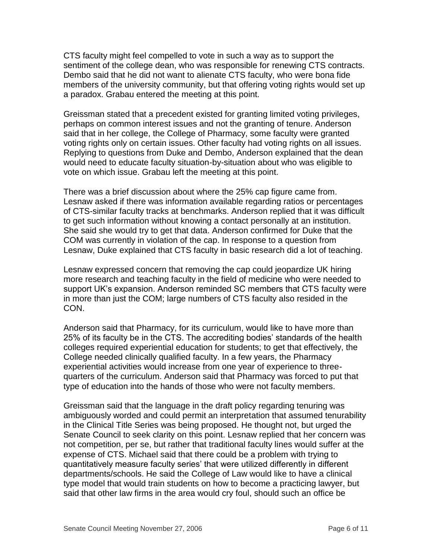CTS faculty might feel compelled to vote in such a way as to support the sentiment of the college dean, who was responsible for renewing CTS contracts. Dembo said that he did not want to alienate CTS faculty, who were bona fide members of the university community, but that offering voting rights would set up a paradox. Grabau entered the meeting at this point.

Greissman stated that a precedent existed for granting limited voting privileges, perhaps on common interest issues and not the granting of tenure. Anderson said that in her college, the College of Pharmacy, some faculty were granted voting rights only on certain issues. Other faculty had voting rights on all issues. Replying to questions from Duke and Dembo, Anderson explained that the dean would need to educate faculty situation-by-situation about who was eligible to vote on which issue. Grabau left the meeting at this point.

There was a brief discussion about where the 25% cap figure came from. Lesnaw asked if there was information available regarding ratios or percentages of CTS-similar faculty tracks at benchmarks. Anderson replied that it was difficult to get such information without knowing a contact personally at an institution. She said she would try to get that data. Anderson confirmed for Duke that the COM was currently in violation of the cap. In response to a question from Lesnaw, Duke explained that CTS faculty in basic research did a lot of teaching.

Lesnaw expressed concern that removing the cap could jeopardize UK hiring more research and teaching faculty in the field of medicine who were needed to support UK's expansion. Anderson reminded SC members that CTS faculty were in more than just the COM; large numbers of CTS faculty also resided in the CON.

Anderson said that Pharmacy, for its curriculum, would like to have more than 25% of its faculty be in the CTS. The accrediting bodies' standards of the health colleges required experiential education for students; to get that effectively, the College needed clinically qualified faculty. In a few years, the Pharmacy experiential activities would increase from one year of experience to threequarters of the curriculum. Anderson said that Pharmacy was forced to put that type of education into the hands of those who were not faculty members.

Greissman said that the language in the draft policy regarding tenuring was ambiguously worded and could permit an interpretation that assumed tenurability in the Clinical Title Series was being proposed. He thought not, but urged the Senate Council to seek clarity on this point. Lesnaw replied that her concern was not competition, per se, but rather that traditional faculty lines would suffer at the expense of CTS. Michael said that there could be a problem with trying to quantitatively measure faculty series' that were utilized differently in different departments/schools. He said the College of Law would like to have a clinical type model that would train students on how to become a practicing lawyer, but said that other law firms in the area would cry foul, should such an office be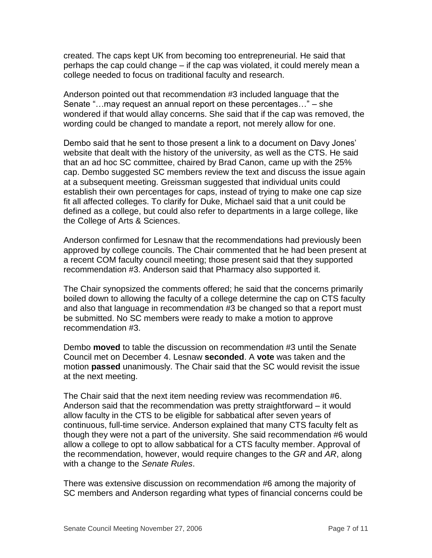created. The caps kept UK from becoming too entrepreneurial. He said that perhaps the cap could change – if the cap was violated, it could merely mean a college needed to focus on traditional faculty and research.

Anderson pointed out that recommendation #3 included language that the Senate "…may request an annual report on these percentages…" – she wondered if that would allay concerns. She said that if the cap was removed, the wording could be changed to mandate a report, not merely allow for one.

Dembo said that he sent to those present a link to a document on Davy Jones' website that dealt with the history of the university, as well as the CTS. He said that an ad hoc SC committee, chaired by Brad Canon, came up with the 25% cap. Dembo suggested SC members review the text and discuss the issue again at a subsequent meeting. Greissman suggested that individual units could establish their own percentages for caps, instead of trying to make one cap size fit all affected colleges. To clarify for Duke, Michael said that a unit could be defined as a college, but could also refer to departments in a large college, like the College of Arts & Sciences.

Anderson confirmed for Lesnaw that the recommendations had previously been approved by college councils. The Chair commented that he had been present at a recent COM faculty council meeting; those present said that they supported recommendation #3. Anderson said that Pharmacy also supported it.

The Chair synopsized the comments offered; he said that the concerns primarily boiled down to allowing the faculty of a college determine the cap on CTS faculty and also that language in recommendation #3 be changed so that a report must be submitted. No SC members were ready to make a motion to approve recommendation #3.

Dembo **moved** to table the discussion on recommendation #3 until the Senate Council met on December 4. Lesnaw **seconded**. A **vote** was taken and the motion **passed** unanimously. The Chair said that the SC would revisit the issue at the next meeting.

The Chair said that the next item needing review was recommendation #6. Anderson said that the recommendation was pretty straightforward – it would allow faculty in the CTS to be eligible for sabbatical after seven years of continuous, full-time service. Anderson explained that many CTS faculty felt as though they were not a part of the university. She said recommendation #6 would allow a college to opt to allow sabbatical for a CTS faculty member. Approval of the recommendation, however, would require changes to the *GR* and *AR*, along with a change to the *Senate Rules*.

There was extensive discussion on recommendation #6 among the majority of SC members and Anderson regarding what types of financial concerns could be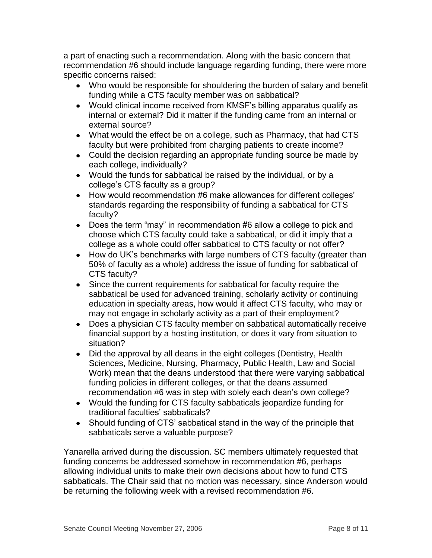a part of enacting such a recommendation. Along with the basic concern that recommendation #6 should include language regarding funding, there were more specific concerns raised:

- Who would be responsible for shouldering the burden of salary and benefit funding while a CTS faculty member was on sabbatical?
- Would clinical income received from KMSF's billing apparatus qualify as internal or external? Did it matter if the funding came from an internal or external source?
- What would the effect be on a college, such as Pharmacy, that had CTS faculty but were prohibited from charging patients to create income?
- Could the decision regarding an appropriate funding source be made by each college, individually?
- Would the funds for sabbatical be raised by the individual, or by a college's CTS faculty as a group?
- How would recommendation #6 make allowances for different colleges' standards regarding the responsibility of funding a sabbatical for CTS faculty?
- Does the term "may" in recommendation #6 allow a college to pick and choose which CTS faculty could take a sabbatical, or did it imply that a college as a whole could offer sabbatical to CTS faculty or not offer?
- How do UK's benchmarks with large numbers of CTS faculty (greater than 50% of faculty as a whole) address the issue of funding for sabbatical of CTS faculty?
- Since the current requirements for sabbatical for faculty require the sabbatical be used for advanced training, scholarly activity or continuing education in specialty areas, how would it affect CTS faculty, who may or may not engage in scholarly activity as a part of their employment?
- Does a physician CTS faculty member on sabbatical automatically receive financial support by a hosting institution, or does it vary from situation to situation?
- Did the approval by all deans in the eight colleges (Dentistry, Health Sciences, Medicine, Nursing, Pharmacy, Public Health, Law and Social Work) mean that the deans understood that there were varying sabbatical funding policies in different colleges, or that the deans assumed recommendation #6 was in step with solely each dean's own college?
- Would the funding for CTS faculty sabbaticals jeopardize funding for traditional faculties' sabbaticals?
- Should funding of CTS' sabbatical stand in the way of the principle that sabbaticals serve a valuable purpose?

Yanarella arrived during the discussion. SC members ultimately requested that funding concerns be addressed somehow in recommendation #6, perhaps allowing individual units to make their own decisions about how to fund CTS sabbaticals. The Chair said that no motion was necessary, since Anderson would be returning the following week with a revised recommendation #6.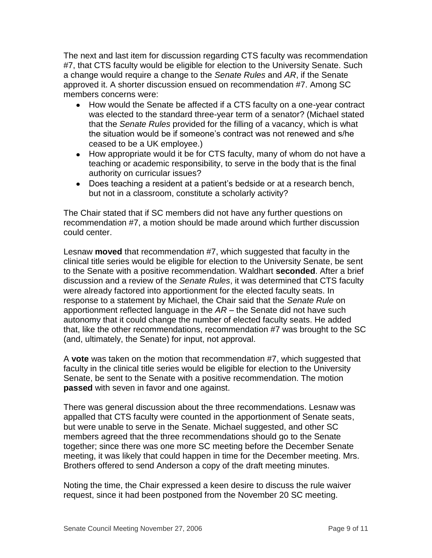The next and last item for discussion regarding CTS faculty was recommendation #7, that CTS faculty would be eligible for election to the University Senate. Such a change would require a change to the *Senate Rules* and *AR*, if the Senate approved it. A shorter discussion ensued on recommendation #7. Among SC members concerns were:

- How would the Senate be affected if a CTS faculty on a one-year contract was elected to the standard three-year term of a senator? (Michael stated that the *Senate Rules* provided for the filling of a vacancy, which is what the situation would be if someone's contract was not renewed and s/he ceased to be a UK employee.)
- How appropriate would it be for CTS faculty, many of whom do not have a teaching or academic responsibility, to serve in the body that is the final authority on curricular issues?
- Does teaching a resident at a patient's bedside or at a research bench, but not in a classroom, constitute a scholarly activity?

The Chair stated that if SC members did not have any further questions on recommendation #7, a motion should be made around which further discussion could center.

Lesnaw **moved** that recommendation #7, which suggested that faculty in the clinical title series would be eligible for election to the University Senate, be sent to the Senate with a positive recommendation. Waldhart **seconded**. After a brief discussion and a review of the *Senate Rules*, it was determined that CTS faculty were already factored into apportionment for the elected faculty seats. In response to a statement by Michael, the Chair said that the *Senate Rule* on apportionment reflected language in the *AR* – the Senate did not have such autonomy that it could change the number of elected faculty seats. He added that, like the other recommendations, recommendation #7 was brought to the SC (and, ultimately, the Senate) for input, not approval.

A **vote** was taken on the motion that recommendation #7, which suggested that faculty in the clinical title series would be eligible for election to the University Senate, be sent to the Senate with a positive recommendation. The motion **passed** with seven in favor and one against.

There was general discussion about the three recommendations. Lesnaw was appalled that CTS faculty were counted in the apportionment of Senate seats, but were unable to serve in the Senate. Michael suggested, and other SC members agreed that the three recommendations should go to the Senate together; since there was one more SC meeting before the December Senate meeting, it was likely that could happen in time for the December meeting. Mrs. Brothers offered to send Anderson a copy of the draft meeting minutes.

Noting the time, the Chair expressed a keen desire to discuss the rule waiver request, since it had been postponed from the November 20 SC meeting.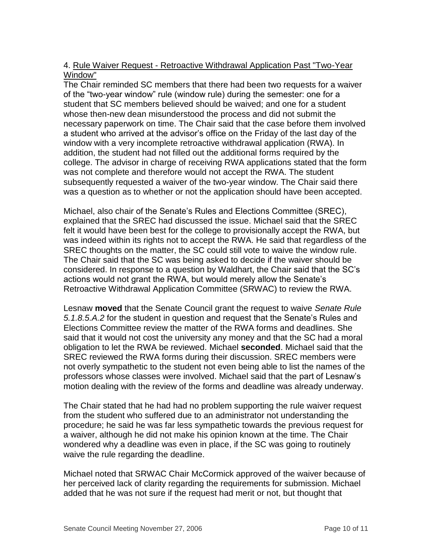## 4. Rule Waiver Request - Retroactive Withdrawal Application Past "Two-Year Window"

The Chair reminded SC members that there had been two requests for a waiver of the "two-year window" rule (window rule) during the semester: one for a student that SC members believed should be waived; and one for a student whose then-new dean misunderstood the process and did not submit the necessary paperwork on time. The Chair said that the case before them involved a student who arrived at the advisor's office on the Friday of the last day of the window with a very incomplete retroactive withdrawal application (RWA). In addition, the student had not filled out the additional forms required by the college. The advisor in charge of receiving RWA applications stated that the form was not complete and therefore would not accept the RWA. The student subsequently requested a waiver of the two-year window. The Chair said there was a question as to whether or not the application should have been accepted.

Michael, also chair of the Senate's Rules and Elections Committee (SREC), explained that the SREC had discussed the issue. Michael said that the SREC felt it would have been best for the college to provisionally accept the RWA, but was indeed within its rights not to accept the RWA. He said that regardless of the SREC thoughts on the matter, the SC could still vote to waive the window rule. The Chair said that the SC was being asked to decide if the waiver should be considered. In response to a question by Waldhart, the Chair said that the SC's actions would not grant the RWA, but would merely allow the Senate's Retroactive Withdrawal Application Committee (SRWAC) to review the RWA.

Lesnaw **moved** that the Senate Council grant the request to waive *Senate Rule 5.1.8.5.A.2* for the student in question and request that the Senate's Rules and Elections Committee review the matter of the RWA forms and deadlines. She said that it would not cost the university any money and that the SC had a moral obligation to let the RWA be reviewed. Michael **seconded**. Michael said that the SREC reviewed the RWA forms during their discussion. SREC members were not overly sympathetic to the student not even being able to list the names of the professors whose classes were involved. Michael said that the part of Lesnaw's motion dealing with the review of the forms and deadline was already underway.

The Chair stated that he had had no problem supporting the rule waiver request from the student who suffered due to an administrator not understanding the procedure; he said he was far less sympathetic towards the previous request for a waiver, although he did not make his opinion known at the time. The Chair wondered why a deadline was even in place, if the SC was going to routinely waive the rule regarding the deadline.

Michael noted that SRWAC Chair McCormick approved of the waiver because of her perceived lack of clarity regarding the requirements for submission. Michael added that he was not sure if the request had merit or not, but thought that